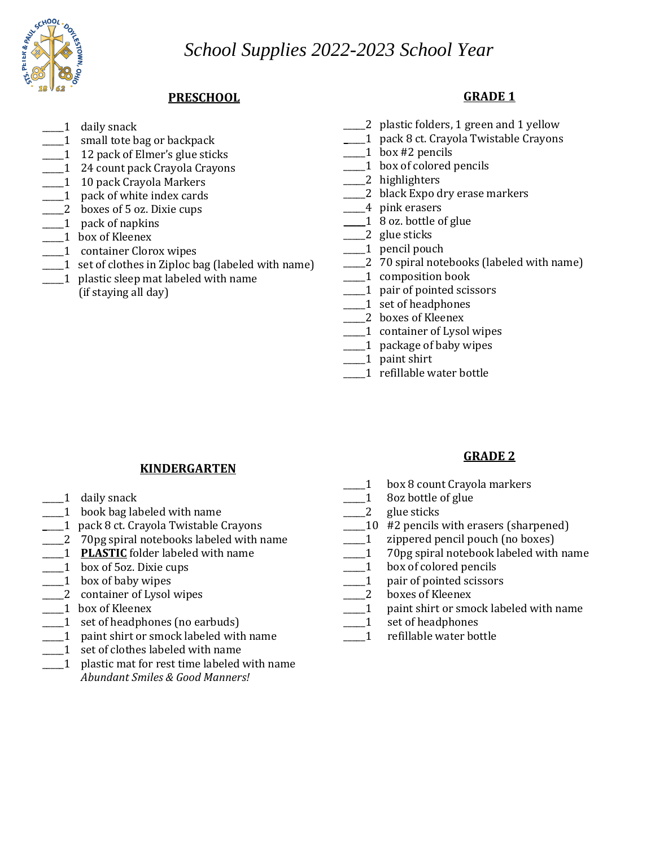*School Supplies 2022-2023 School Year*



## **PRESCHOOL**

- 1 daily snack
- 1 small tote bag or backpack
- 1 12 pack of Elmer's glue sticks
- 1 24 count pack Crayola Crayons
- 1 10 pack Crayola Markers
- \_\_\_\_\_1 pack of white index cards
- \_\_\_\_\_2 boxes of 5 oz. Dixie cups
- \_\_\_\_\_1 pack of napkins
- \_\_\_\_1 box of Kleenex
- \_\_\_\_1 container Clorox wipes
- \_\_\_\_\_1 set of clothes in Ziploc bag (labeled with name)
- \_\_\_\_\_1 plastic sleep mat labeled with name
	- (if staying all day)

## **GRADE 1**

- \_\_\_\_\_2 plastic folders, 1 green and 1 yellow
- **\_**\_\_\_\_1 pack 8 ct. Crayola Twistable Crayons
- \_\_\_\_\_1 box #2 pencils
- \_\_\_\_\_1 box of colored pencils
- \_\_\_\_2 highlighters
- \_\_\_\_\_2 black Expo dry erase markers
- \_\_\_\_\_4 pink erasers
- **\_\_\_\_\_**1 8 oz. bottle of glue
- 2 glue sticks
- \_\_\_\_1 pencil pouch
- \_\_\_\_\_2 70 spiral notebooks (labeled with name)
- \_\_\_\_\_1 composition book
- 1 pair of pointed scissors
- \_\_\_\_\_1 set of headphones
- \_\_\_\_\_2 boxes of Kleenex
- \_\_\_\_\_1 container of Lysol wipes
- \_\_\_\_\_1 package of baby wipes
- \_\_\_\_\_1 paint shirt
- \_\_\_\_\_1 refillable water bottle

### **KINDERGARTEN**

- $\_1$  daily snack
- 1 book bag labeled with name
- **\_**\_\_\_\_1 pack 8 ct. Crayola Twistable Crayons
- 2 70pg spiral notebooks labeled with name
- 1 **PLASTIC** folder labeled with name
- \_\_\_\_\_1 box of 5oz. Dixie cups
- $\Box$ 1 box of baby wipes
- 2 container of Lysol wipes
- \_\_\_\_\_1 box of Kleenex
- \_\_\_\_\_1 set of headphones (no earbuds)
- \_\_\_\_\_1 paint shirt or smock labeled with name
- \_\_\_\_\_1 set of clothes labeled with name
- \_\_\_\_\_1 plastic mat for rest time labeled with name *Abundant Smiles & Good Manners!*

### **GRADE 2**

- \_\_\_\_\_1 box 8 count Crayola markers
- $\frac{1}{2}$  8oz bottle of glue
- 2 glue sticks
- $\Box$  10 #2 pencils with erasers (sharpened)
- \_\_\_\_\_1 zippered pencil pouch (no boxes)
- 1 70pg spiral notebook labeled with name
- 1 box of colored pencils
- \_\_\_\_\_1 pair of pointed scissors
- 2 boxes of Kleenex
- 1 paint shirt or smock labeled with name
- \_\_\_\_\_1 set of headphones
- \_\_\_\_\_1 refillable water bottle